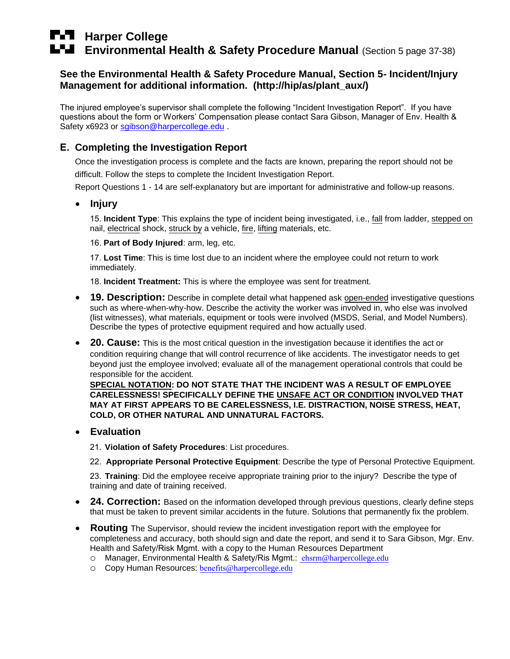## **Frida** Harper College

**L'I** Environmental Health & Safety Procedure Manual (Section 5 page 37-38)

### **See the Environmental Health & Safety Procedure Manual, Section 5- Incident/Injury Management for additional information. (http://hip/as/plant\_aux/)**

The injured employee's supervisor shall complete the following "Incident Investigation Report". If you have questions about the form or Workers' Compensation please contact Sara Gibson, Manager of Env. Health & Safety x6923 or [sgibson@harpercollege.edu](mailto:sgibson@harpercollege.edu).

### **E. Completing the Investigation Report**

Once the investigation process is complete and the facts are known, preparing the report should not be difficult. Follow the steps to complete the Incident Investigation Report.

Report Questions 1 - 14 are self-explanatory but are important for administrative and follow-up reasons.

#### **Injury**

15. **Incident Type**: This explains the type of incident being investigated, i.e., fall from ladder, stepped on nail, electrical shock, struck by a vehicle, fire, lifting materials, etc.

16. **Part of Body Injured**: arm, leg, etc.

17. **Lost Time**: This is time lost due to an incident where the employee could not return to work immediately.

18. **Incident Treatment:** This is where the employee was sent for treatment.

- **19. Description:** Describe in complete detail what happened ask open-ended investigative questions such as where-when-why-how. Describe the activity the worker was involved in, who else was involved (list witnesses), what materials, equipment or tools were involved (MSDS, Serial, and Model Numbers). Describe the types of protective equipment required and how actually used.
- **20. Cause:** This is the most critical question in the investigation because it identifies the act or condition requiring change that will control recurrence of like accidents. The investigator needs to get beyond just the employee involved; evaluate all of the management operational controls that could be responsible for the accident.

**SPECIAL NOTATION: DO NOT STATE THAT THE INCIDENT WAS A RESULT OF EMPLOYEE CARELESSNESS! SPECIFICALLY DEFINE THE UNSAFE ACT OR CONDITION INVOLVED THAT MAY AT FIRST APPEARS TO BE CARELESSNESS, I.E. DISTRACTION, NOISE STRESS, HEAT, COLD, OR OTHER NATURAL AND UNNATURAL FACTORS.**

#### **Evaluation**

21. **Violation of Safety Procedures**: List procedures.

22. **Appropriate Personal Protective Equipment**: Describe the type of Personal Protective Equipment.

23. **Training**: Did the employee receive appropriate training prior to the injury? Describe the type of training and date of training received.

- **24. Correction:** Based on the information developed through previous questions, clearly define steps that must be taken to prevent similar accidents in the future. Solutions that permanently fix the problem.
- **Routing** The Supervisor, should review the incident investigation report with the employee for completeness and accuracy, both should sign and date the report, and send it to Sara Gibson, Mgr. Env. Health and Safety/Risk Mgmt. with a copy to the Human Resources Department
	- o Manager, Environmental Health & Safety/Ris Mgmt.: eh[srm](mailto:sgibson@harpercollege.edu)@harpercollege.edu
	- o Copy Human Resources: benefits@har[percollege.edu](mailto:jolsen@harpercollege.edu)